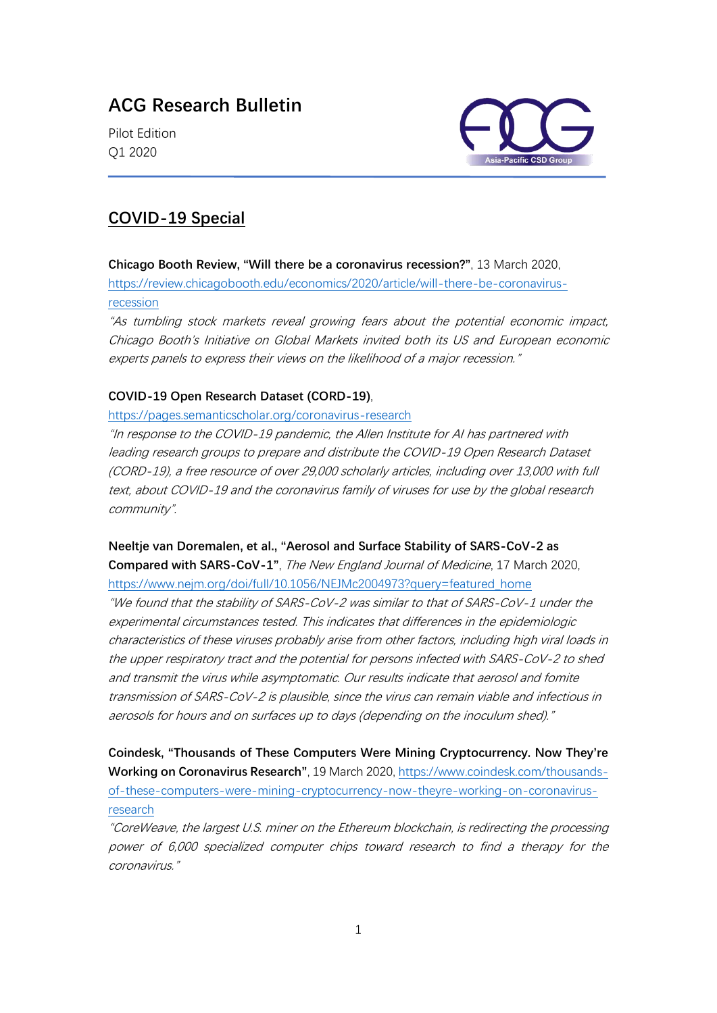# **ACG Research Bulletin**

Pilot Edition Q1 2020



## **COVID-19 Special**

**Chicago Booth Review, "Will there be a coronavirus recession?"**, 13 March 2020, [https://review.chicagobooth.edu/economics/2020/article/will-there-be-coronavirus](https://review.chicagobooth.edu/economics/2020/article/will-there-be-coronavirus-recession)[recession](https://review.chicagobooth.edu/economics/2020/article/will-there-be-coronavirus-recession)

"As tumbling stock markets reveal growing fears about the potential economic impact, Chicago Booth's Initiative on Global Markets invited both its US and European economic experts panels to express their views on the likelihood of a major recession."

#### **COVID-19 Open Research Dataset (CORD-19)**,

<https://pages.semanticscholar.org/coronavirus-research>

"In response to the COVID-19 pandemic, the Allen Institute for AI has partnered with leading research groups to prepare and distribute the COVID-19 Open Research Dataset (CORD-19), a free resource of over 29,000 scholarly articles, including over 13,000 with full text, about COVID-19 and the coronavirus family of viruses for use by the global research community".

### **Neeltje van Doremalen, et al., "Aerosol and Surface Stability of SARS-CoV-2 as**

**Compared with SARS-CoV-1"**, The New England Journal of Medicine, 17 March 2020, [https://www.nejm.org/doi/full/10.1056/NEJMc2004973?query=featured\\_home](https://www.nejm.org/doi/full/10.1056/NEJMc2004973?query=featured_home)

"We found that the stability of SARS-CoV-2 was similar to that of SARS-CoV-1 under the experimental circumstances tested. This indicates that differences in the epidemiologic characteristics of these viruses probably arise from other factors, including high viral loads in the upper respiratory tract and the potential for persons infected with SARS-CoV-2 to shed and transmit the virus while asymptomatic. Our results indicate that aerosol and fomite transmission of SARS-CoV-2 is plausible, since the virus can remain viable and infectious in aerosols for hours and on surfaces up to days (depending on the inoculum shed)."

**Coindesk, "Thousands of These Computers Were Mining Cryptocurrency. Now They're Working on Coronavirus Research"**, 19 March 2020, [https://www.coindesk.com/thousands](https://www.coindesk.com/thousands-of-these-computers-were-mining-cryptocurrency-now-theyre-working-on-coronavirus-research)[of-these-computers-were-mining-cryptocurrency-now-theyre-working-on-coronavirus](https://www.coindesk.com/thousands-of-these-computers-were-mining-cryptocurrency-now-theyre-working-on-coronavirus-research)[research](https://www.coindesk.com/thousands-of-these-computers-were-mining-cryptocurrency-now-theyre-working-on-coronavirus-research)

"CoreWeave, the largest U.S. miner on the Ethereum blockchain, is redirecting the processing power of 6,000 specialized computer chips toward research to find a therapy for the coronavirus."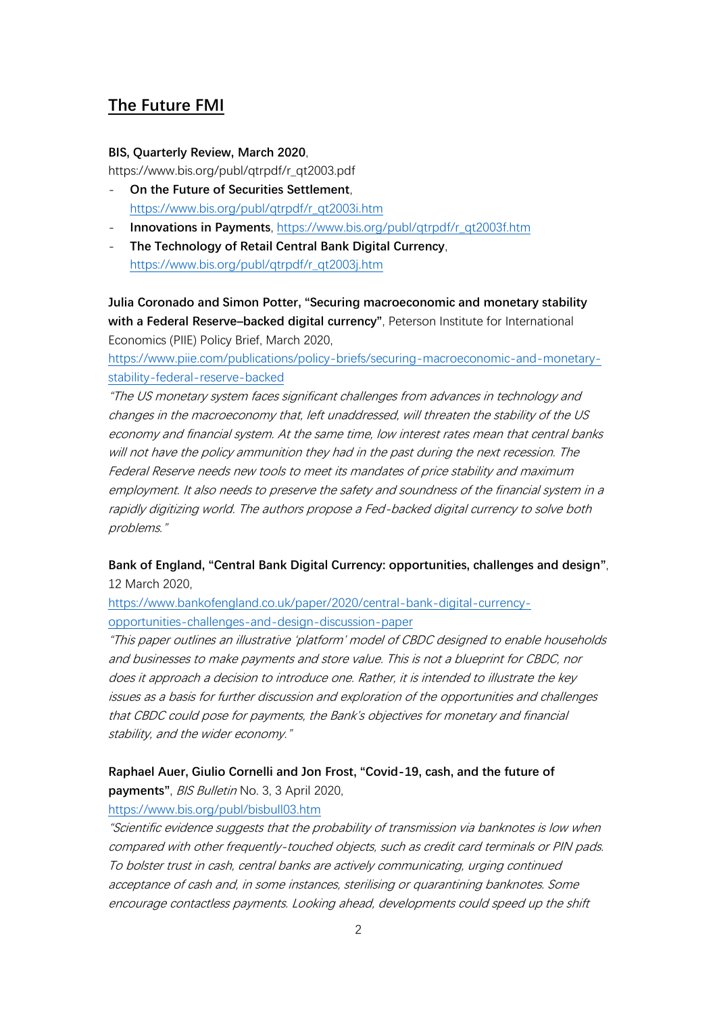## **The Future FMI**

#### **BIS, Quarterly Review, March 2020**,

https://www.bis.org/publ/qtrpdf/r\_qt2003.pdf

- **On the Future of Securities Settlement**, [https://www.bis.org/publ/qtrpdf/r\\_qt2003i.htm](https://www.bis.org/publ/qtrpdf/r_qt2003i.htm)
- **Innovations in Payments**, [https://www.bis.org/publ/qtrpdf/r\\_qt2003f.htm](https://www.bis.org/publ/qtrpdf/r_qt2003f.htm)
- **The Technology of Retail Central Bank Digital Currency**, [https://www.bis.org/publ/qtrpdf/r\\_qt2003j.htm](https://www.bis.org/publ/qtrpdf/r_qt2003j.htm)

**Julia Coronado and Simon Potter, "Securing macroeconomic and monetary stability with a Federal Reserve–backed digital currency"**, Peterson Institute for International Economics (PIIE) Policy Brief, March 2020,

[https://www.piie.com/publications/policy-briefs/securing-macroeconomic-and-monetary](https://www.piie.com/publications/policy-briefs/securing-macroeconomic-and-monetary-stability-federal-reserve-backed)[stability-federal-reserve-backed](https://www.piie.com/publications/policy-briefs/securing-macroeconomic-and-monetary-stability-federal-reserve-backed)

"The US monetary system faces significant challenges from advances in technology and changes in the macroeconomy that, left unaddressed, will threaten the stability of the US economy and financial system. At the same time, low interest rates mean that central banks will not have the policy ammunition they had in the past during the next recession. The Federal Reserve needs new tools to meet its mandates of price stability and maximum employment. It also needs to preserve the safety and soundness of the financial system in a rapidly digitizing world. The authors propose a Fed-backed digital currency to solve both problems."

## **Bank of England, "Central Bank Digital Currency: opportunities, challenges and design"**, 12 March 2020,

[https://www.bankofengland.co.uk/paper/2020/central-bank-digital-currency](https://www.bankofengland.co.uk/paper/2020/central-bank-digital-currency-opportunities-challenges-and-design-discussion-paper)[opportunities-challenges-and-design-discussion-paper](https://www.bankofengland.co.uk/paper/2020/central-bank-digital-currency-opportunities-challenges-and-design-discussion-paper)

"This paper outlines an illustrative 'platform' model of CBDC designed to enable households and businesses to make payments and store value. This is not a blueprint for CBDC, nor does it approach a decision to introduce one. Rather, it is intended to illustrate the key issues as a basis for further discussion and exploration of the opportunities and challenges that CBDC could pose for payments, the Bank's objectives for monetary and financial stability, and the wider economy."

## **Raphael Auer, Giulio Cornelli and Jon Frost, "Covid-19, cash, and the future of payments"**, BIS Bulletin No. 3, 3 April 2020,

### <https://www.bis.org/publ/bisbull03.htm>

"Scientific evidence suggests that the probability of transmission via banknotes is low when compared with other frequently-touched objects, such as credit card terminals or PIN pads. To bolster trust in cash, central banks are actively communicating, urging continued acceptance of cash and, in some instances, sterilising or quarantining banknotes. Some encourage contactless payments. Looking ahead, developments could speed up the shift